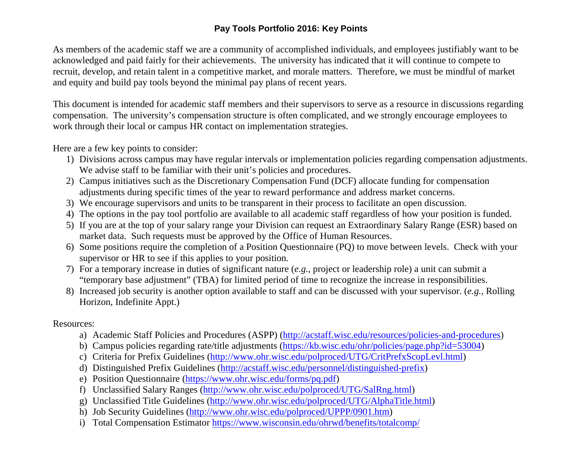## **Pay Tools Portfolio 2016: Key Points**

As members of the academic staff we are a community of accomplished individuals, and employees justifiably want to be acknowledged and paid fairly for their achievements. The university has indicated that it will continue to compete to recruit, develop, and retain talent in a competitive market, and morale matters. Therefore, we must be mindful of market and equity and build pay tools beyond the minimal pay plans of recent years.

This document is intended for academic staff members and their supervisors to serve as a resource in discussions regarding compensation. The university's compensation structure is often complicated, and we strongly encourage employees to work through their local or campus HR contact on implementation strategies.

Here are a few key points to consider:

- 1) Divisions across campus may have regular intervals or implementation policies regarding compensation adjustments. We advise staff to be familiar with their unit's policies and procedures.
- 2) Campus initiatives such as the Discretionary Compensation Fund (DCF) allocate funding for compensation adjustments during specific times of the year to reward performance and address market concerns.
- 3) We encourage supervisors and units to be transparent in their process to facilitate an open discussion.
- 4) The options in the pay tool portfolio are available to all academic staff regardless of how your position is funded.
- 5) If you are at the top of your salary range your Division can request an Extraordinary Salary Range (ESR) based on market data. Such requests must be approved by the Office of Human Resources.
- 6) Some positions require the completion of a Position Questionnaire (PQ) to move between levels. Check with your supervisor or HR to see if this applies to your position.
- 7) For a temporary increase in duties of significant nature (*e.g.*, project or leadership role) a unit can submit a "temporary base adjustment" (TBA) for limited period of time to recognize the increase in responsibilities.
- 8) Increased job security is another option available to staff and can be discussed with your supervisor. (*e.g.*, Rolling Horizon, Indefinite Appt.)

Resources:

- a) Academic Staff Policies and Procedures (ASPP) [\(http://acstaff.wisc.edu/resources/policies-and-procedures\)](http://acstaff.wisc.edu/resources/policies-and-procedures)
- b) Campus policies regarding rate/title adjustments [\(https://kb.wisc.edu/ohr/policies/page.php?id=53004\)](https://kb.wisc.edu/ohr/policies/page.php?id=53004)
- c) Criteria for Prefix Guidelines [\(http://www.ohr.wisc.edu/polproced/UTG/CritPrefxScopLevl.html\)](http://www.ohr.wisc.edu/polproced/UTG/CritPrefxScopLevl.html)
- d) Distinguished Prefix Guidelines [\(http://acstaff.wisc.edu/personnel/distinguished-prefix\)](http://acstaff.wisc.edu/personnel/distinguished-prefix)
- e) Position Questionnaire [\(https://www.ohr.wisc.edu/forms/pq.pdf\)](https://www.ohr.wisc.edu/forms/pq.pdf)
- f) Unclassified Salary Ranges [\(http://www.ohr.wisc.edu/polproced/UTG/SalRng.html\)](http://www.ohr.wisc.edu/polproced/UTG/SalRng.html)
- g) Unclassified Title Guidelines [\(http://www.ohr.wisc.edu/polproced/UTG/AlphaTitle.html\)](http://www.ohr.wisc.edu/polproced/UTG/AlphaTitle.html)
- h) Job Security Guidelines [\(http://www.ohr.wisc.edu/polproced/UPPP/0901.htm\)](http://www.ohr.wisc.edu/polproced/UPPP/0901.htm)
- i) Total Compensation Estimator<https://www.wisconsin.edu/ohrwd/benefits/totalcomp/>